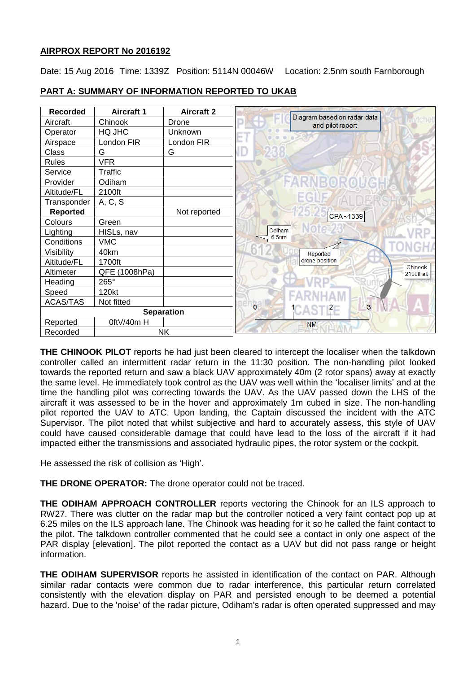# **AIRPROX REPORT No 2016192**

Date: 15 Aug 2016 Time: 1339Z Position: 5114N 00046W Location: 2.5nm south Farnborough



# **PART A: SUMMARY OF INFORMATION REPORTED TO UKAB**

**THE CHINOOK PILOT** reports he had just been cleared to intercept the localiser when the talkdown controller called an intermittent radar return in the 11:30 position. The non-handling pilot looked towards the reported return and saw a black UAV approximately 40m (2 rotor spans) away at exactly the same level. He immediately took control as the UAV was well within the 'localiser limits' and at the time the handling pilot was correcting towards the UAV. As the UAV passed down the LHS of the aircraft it was assessed to be in the hover and approximately 1m cubed in size. The non-handling pilot reported the UAV to ATC. Upon landing, the Captain discussed the incident with the ATC Supervisor. The pilot noted that whilst subjective and hard to accurately assess, this style of UAV could have caused considerable damage that could have lead to the loss of the aircraft if it had impacted either the transmissions and associated hydraulic pipes, the rotor system or the cockpit.

He assessed the risk of collision as 'High'.

**THE DRONE OPERATOR:** The drone operator could not be traced.

**THE ODIHAM APPROACH CONTROLLER** reports vectoring the Chinook for an ILS approach to RW27. There was clutter on the radar map but the controller noticed a very faint contact pop up at 6.25 miles on the ILS approach lane. The Chinook was heading for it so he called the faint contact to the pilot. The talkdown controller commented that he could see a contact in only one aspect of the PAR display [elevation]. The pilot reported the contact as a UAV but did not pass range or height information.

**THE ODIHAM SUPERVISOR** reports he assisted in identification of the contact on PAR. Although similar radar contacts were common due to radar interference, this particular return correlated consistently with the elevation display on PAR and persisted enough to be deemed a potential hazard. Due to the 'noise' of the radar picture, Odiham's radar is often operated suppressed and may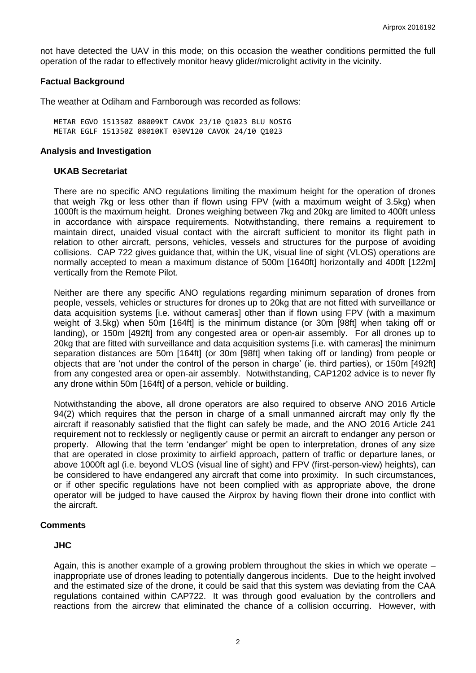not have detected the UAV in this mode; on this occasion the weather conditions permitted the full operation of the radar to effectively monitor heavy glider/microlight activity in the vicinity.

### **Factual Background**

The weather at Odiham and Farnborough was recorded as follows:

METAR EGVO 151350Z 08009KT CAVOK 23/10 Q1023 BLU NOSIG METAR EGLF 151350Z 08010KT 030V120 CAVOK 24/10 Q1023

### **Analysis and Investigation**

### **UKAB Secretariat**

There are no specific ANO regulations limiting the maximum height for the operation of drones that weigh 7kg or less other than if flown using FPV (with a maximum weight of 3.5kg) when 1000ft is the maximum height. Drones weighing between 7kg and 20kg are limited to 400ft unless in accordance with airspace requirements. Notwithstanding, there remains a requirement to maintain direct, unaided visual contact with the aircraft sufficient to monitor its flight path in relation to other aircraft, persons, vehicles, vessels and structures for the purpose of avoiding collisions. CAP 722 gives guidance that, within the UK, visual line of sight (VLOS) operations are normally accepted to mean a maximum distance of 500m [1640ft] horizontally and 400ft [122m] vertically from the Remote Pilot.

Neither are there any specific ANO regulations regarding minimum separation of drones from people, vessels, vehicles or structures for drones up to 20kg that are not fitted with surveillance or data acquisition systems [i.e. without cameras] other than if flown using FPV (with a maximum weight of 3.5kg) when 50m [164ft] is the minimum distance (or 30m [98ft] when taking off or landing), or 150m [492ft] from any congested area or open-air assembly. For all drones up to 20kg that are fitted with surveillance and data acquisition systems [i.e. with cameras] the minimum separation distances are 50m [164ft] (or 30m [98ft] when taking off or landing) from people or objects that are 'not under the control of the person in charge' (ie. third parties), or 150m [492ft] from any congested area or open-air assembly. Notwithstanding, CAP1202 advice is to never fly any drone within 50m [164ft] of a person, vehicle or building.

Notwithstanding the above, all drone operators are also required to observe ANO 2016 Article 94(2) which requires that the person in charge of a small unmanned aircraft may only fly the aircraft if reasonably satisfied that the flight can safely be made, and the ANO 2016 Article 241 requirement not to recklessly or negligently cause or permit an aircraft to endanger any person or property. Allowing that the term 'endanger' might be open to interpretation, drones of any size that are operated in close proximity to airfield approach, pattern of traffic or departure lanes, or above 1000ft agl (i.e. beyond VLOS (visual line of sight) and FPV (first-person-view) heights), can be considered to have endangered any aircraft that come into proximity. In such circumstances, or if other specific regulations have not been complied with as appropriate above, the drone operator will be judged to have caused the Airprox by having flown their drone into conflict with the aircraft.

## **Comments**

## **JHC**

Again, this is another example of a growing problem throughout the skies in which we operate – inappropriate use of drones leading to potentially dangerous incidents. Due to the height involved and the estimated size of the drone, it could be said that this system was deviating from the CAA regulations contained within CAP722. It was through good evaluation by the controllers and reactions from the aircrew that eliminated the chance of a collision occurring. However, with